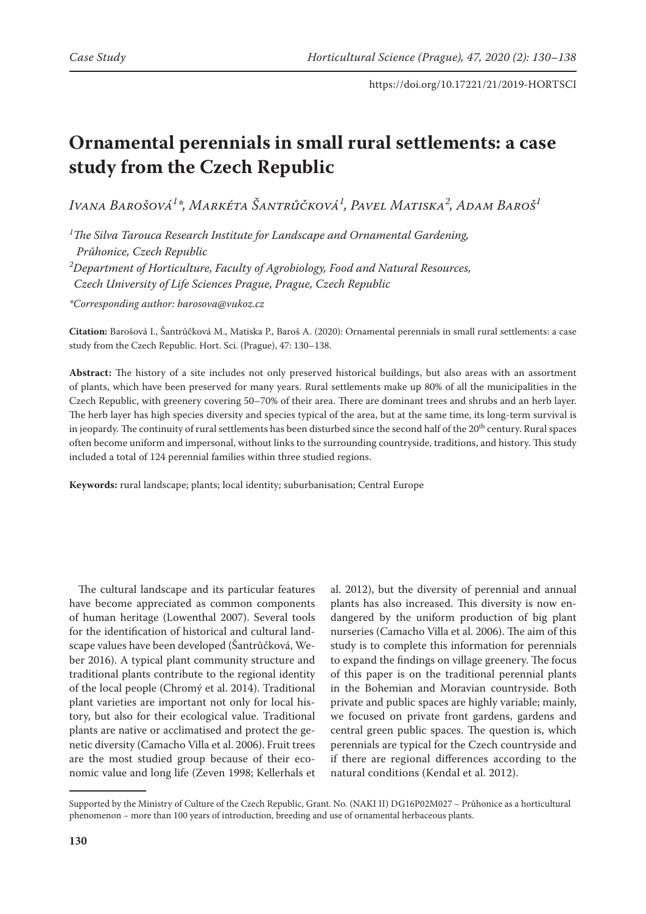# **Ornamental perennials in small rural settlements: a case study from the Czech Republic**

*Ivana Barošová1 \*, Markéta Šantrůčková<sup>1</sup> , Pavel Matiska2 , Adam Baroš1*

*1 The Silva Tarouca Research Institute for Landscape and Ornamental Gardening, Průhonice, Czech Republic 2 Department of Horticulture, Faculty of Agrobiology, Food and Natural Resources, Czech University of Life Sciences Prague, Prague, Czech Republic*

*\*Corresponding author: barosova@vukoz.cz*

**Citation:** Barošová I., Šantrůčková M., Matiska P., Baroš A. (2020): Ornamental perennials in small rural settlements: a case study from the Czech Republic. Hort. Sci. (Prague), 47: 130–138.

**Abstract:** The history of a site includes not only preserved historical buildings, but also areas with an assortment of plants, which have been preserved for many years. Rural settlements make up 80% of all the municipalities in the Czech Republic, with greenery covering 50–70% of their area. There are dominant trees and shrubs and an herb layer. The herb layer has high species diversity and species typical of the area, but at the same time, its long-term survival is in jeopardy. The continuity of rural settlements has been disturbed since the second half of the 20<sup>th</sup> century. Rural spaces often become uniform and impersonal, without links to the surrounding countryside, traditions, and history. This study included a total of 124 perennial families within three studied regions.

**Keywords:** rural landscape; plants; local identity; suburbanisation; Central Europe

The cultural landscape and its particular features have become appreciated as common components of human heritage (Lowenthal 2007). Several tools for the identification of historical and cultural landscape values have been developed (Šantrůčková, Weber 2016). A typical plant community structure and traditional plants contribute to the regional identity of the local people (Chromý et al. 2014). Traditional plant varieties are important not only for local history, but also for their ecological value. Traditional plants are native or acclimatised and protect the genetic diversity (Camacho Villa et al. 2006). Fruit trees are the most studied group because of their economic value and long life (Zeven 1998; Kellerhals et

al. 2012), but the diversity of perennial and annual plants has also increased. This diversity is now endangered by the uniform production of big plant nurseries (Camacho Villa et al. 2006). The aim of this study is to complete this information for perennials to expand the findings on village greenery. The focus of this paper is on the traditional perennial plants in the Bohemian and Moravian countryside. Both private and public spaces are highly variable; mainly, we focused on private front gardens, gardens and central green public spaces. The question is, which perennials are typical for the Czech countryside and if there are regional differences according to the natural conditions (Kendal et al. 2012).

Supported by the Ministry of Culture of the Czech Republic, Grant. No. (NAKI II) DG16P02M027 – Průhonice as a horticultural phenomenon – more than 100 years of introduction, breeding and use of ornamental herbaceous plants.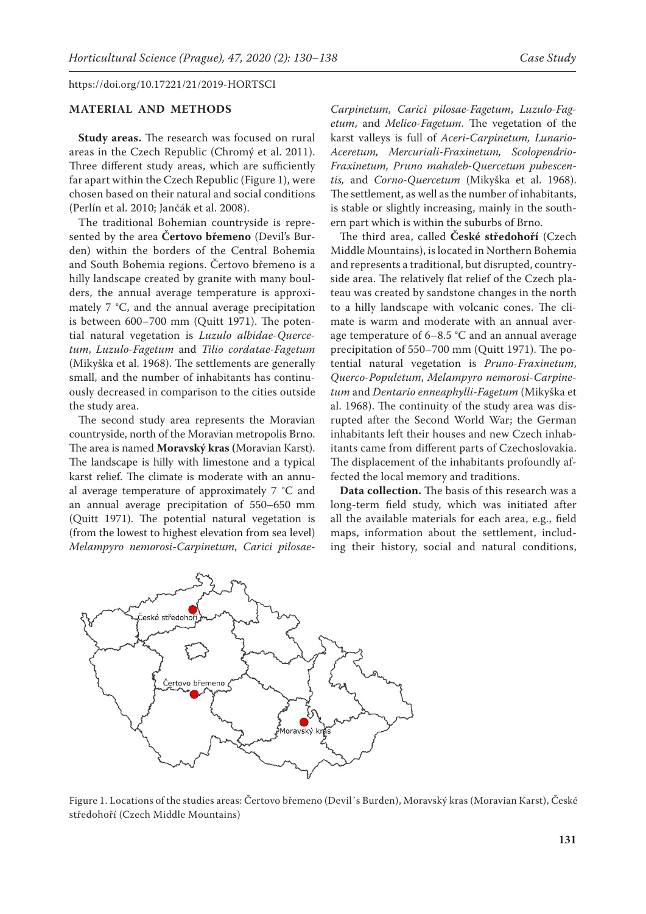# **MATERIAL AND METHODS**

**Study areas.** The research was focused on rural areas in the Czech Republic (Chromý et al. 2011). Three different study areas, which are sufficiently far apart within the Czech Republic (Figure 1), were chosen based on their natural and social conditions (Perlín et al. 2010; Jančák et al. 2008).

The traditional Bohemian countryside is represented by the area **Čertovo břemeno** (Devil's Burden) within the borders of the Central Bohemia and South Bohemia regions. Čertovo břemeno is a hilly landscape created by granite with many boulders, the annual average temperature is approximately 7 °C, and the annual average precipitation is between 600–700 mm (Quitt 1971). The potential natural vegetation is *Luzulo albidae-Quercetum*, *Luzulo-Fagetum* and *Tilio cordatae-Fagetum* (Mikyška et al. 1968). The settlements are generally small, and the number of inhabitants has continuously decreased in comparison to the cities outside the study area.

The second study area represents the Moravian countryside, north of the Moravian metropolis Brno. The area is named **Moravský kras (**Moravian Karst). The landscape is hilly with limestone and a typical karst relief. The climate is moderate with an annual average temperature of approximately 7 °C and an annual average precipitation of 550–650 mm (Quitt 1971). The potential natural vegetation is (from the lowest to highest elevation from sea level) *Melampyro nemorosi-Carpinetum*, *Carici pilosae-*

*Carpinetum*, *Carici pilosae-Fagetum*, *Luzulo-Fagetum*, and *Melico-Fagetum*. The vegetation of the karst valleys is full of *Aceri-Carpinetum, Lunario-Aceretum, Mercuriali-Fraxinetum, Scolopendrio-Fraxinetum, Pruno mahaleb-Quercetum pubescentis,* and *Corno-Quercetum* (Mikyška et al. 1968). The settlement, as well as the number of inhabitants, is stable or slightly increasing, mainly in the southern part which is within the suburbs of Brno.

The third area, called **České středohoří** (Czech Middle Mountains), is located in Northern Bohemia and represents a traditional, but disrupted, countryside area. The relatively flat relief of the Czech plateau was created by sandstone changes in the north to a hilly landscape with volcanic cones. The climate is warm and moderate with an annual average temperature of 6–8.5 °C and an annual average precipitation of 550–700 mm (Quitt 1971). The potential natural vegetation is *Pruno-Fraxinetum*, *Querco-Populetum*, *Melampyro nemorosi-Carpinetum* and *Dentario enneaphylli-Fagetum* (Mikyška et al. 1968). The continuity of the study area was disrupted after the Second World War; the German inhabitants left their houses and new Czech inhabitants came from different parts of Czechoslovakia. The displacement of the inhabitants profoundly affected the local memory and traditions.

**Data collection.** The basis of this research was a long-term field study, which was initiated after all the available materials for each area, e.g., field maps, information about the settlement, including their history, social and natural conditions,



Figure 1. Locations of the studies areas: Čertovo břemeno (Devil´s Burden), Moravský kras (Moravian Karst), České středohoří (Czech Middle Mountains)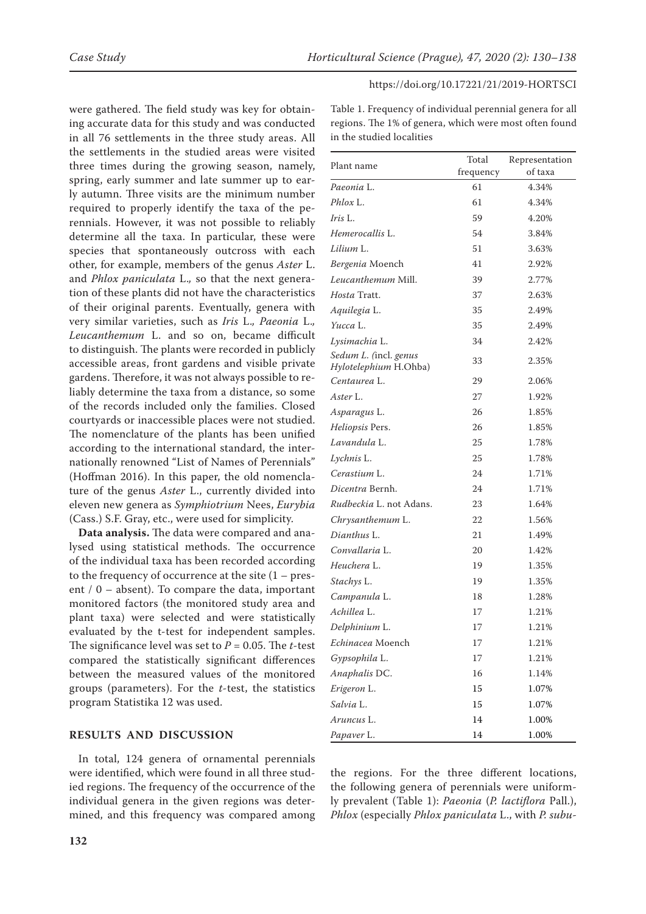were gathered. The field study was key for obtaining accurate data for this study and was conducted in all 76 settlements in the three study areas. All the settlements in the studied areas were visited three times during the growing season, namely, spring, early summer and late summer up to early autumn. Three visits are the minimum number required to properly identify the taxa of the perennials. However, it was not possible to reliably determine all the taxa. In particular, these were species that spontaneously outcross with each other, for example, members of the genus *Aster* L. and *Phlox paniculata* L.*,* so that the next generation of these plants did not have the characteristics of their original parents. Eventually, genera with very similar varieties, such as *Iris* L.*, Paeonia* L.*, Leucanthemum* L. and so on, became difficult to distinguish. The plants were recorded in publicly accessible areas, front gardens and visible private gardens. Therefore, it was not always possible to reliably determine the taxa from a distance, so some of the records included only the families. Closed courtyards or inaccessible places were not studied. The nomenclature of the plants has been unified according to the international standard, the internationally renowned "List of Names of Perennials" (Hoffman 2016). In this paper, the old nomenclature of the genus *Aster* L., currently divided into eleven new genera as *Symphiotrium* Nees, *Eurybia* (Cass.) S.F. Gray, etc., were used for simplicity.

**Data analysis.** The data were compared and analysed using statistical methods. The occurrence of the individual taxa has been recorded according to the frequency of occurrence at the site  $(1 - pres$ ent  $/ 0$  – absent). To compare the data, important monitored factors (the monitored study area and plant taxa) were selected and were statistically evaluated by the t-test for independent samples. The significance level was set to *P* = 0.05. The *t*-test compared the statistically significant differences between the measured values of the monitored groups (parameters). For the *t*-test, the statistics program Statistika 12 was used.

# **RESULTS AND DISCUSSION**

In total, 124 genera of ornamental perennials were identified, which were found in all three studied regions. The frequency of the occurrence of the individual genera in the given regions was determined, and this frequency was compared among

| Table 1. Frequency of individual perennial genera for all |
|-----------------------------------------------------------|
| regions. The 1% of genera, which were most often found    |
| in the studied localities                                 |

| Plant name                                     | Total<br>frequency | Representation<br>of taxa |
|------------------------------------------------|--------------------|---------------------------|
| Paeonia L.                                     | 61                 | 4.34%                     |
| Phlox L.                                       | 61                 | 4.34%                     |
| Iris $L$                                       | 59                 | 4.20%                     |
| Hemerocallis L.                                | 54                 | 3.84%                     |
| Lilium L.                                      | 51                 | 3.63%                     |
| Bergenia Moench                                | 41                 | 2.92%                     |
| Leucanthemum Mill.                             | 39                 | 2.77%                     |
| <i>Hosta</i> Tratt.                            | 37                 | 2.63%                     |
| Aquilegia L.                                   | 35                 | 2.49%                     |
| Yucca L.                                       | 35                 | 2.49%                     |
| Lysimachia L.                                  | 34                 | 2.42%                     |
| Sedum L. (incl. genus<br>Hylotelephium H.Ohba) | 33                 | 2.35%                     |
| Centaurea L.                                   | 29                 | 2.06%                     |
| Aster L.                                       | 27                 | 1.92%                     |
| Asparagus L.                                   | 26                 | 1.85%                     |
| Heliopsis Pers.                                | 26                 | 1.85%                     |
| Lavandula L.                                   | 25                 | 1.78%                     |
| Lychnis L.                                     | 25                 | 1.78%                     |
| Cerastium L.                                   | 24                 | 1.71%                     |
| Dicentra Bernh.                                | 24                 | 1.71%                     |
| <i>Rudbeckia</i> L. not Adans.                 | 23                 | 1.64%                     |
| Chrysanthemum L.                               | 22                 | 1.56%                     |
| Dianthus L.                                    | 21                 | 1.49%                     |
| Convallaria L.                                 | 20                 | 1.42%                     |
| Heuchera L.                                    | 19                 | 1.35%                     |
| Stachys L.                                     | 19                 | 1.35%                     |
| Campanula L.                                   | 18                 | 1.28%                     |
| Achillea L.                                    | 17                 | 1.21%                     |
| Delphinium L.                                  | 17                 | 1.21%                     |
| Echinacea Moench                               | 17                 | 1.21%                     |
| Gypsophila L.                                  | 17                 | 1.21%                     |
| Anaphalis DC.                                  | 16                 | 1.14%                     |
| Erigeron L.                                    | 15                 | 1.07%                     |
| Salvia L.                                      | 15                 | 1.07%                     |
| Aruncus L.                                     | 14                 | 1.00%                     |
| Papaver L.                                     | 14                 | 1.00%                     |

the regions. For the three different locations, the following genera of perennials were uniformly prevalent (Table 1): *Paeonia* (*P. lactiflora* Pall.), *Phlox* (especially *Phlox paniculata* L., with *P. subu-*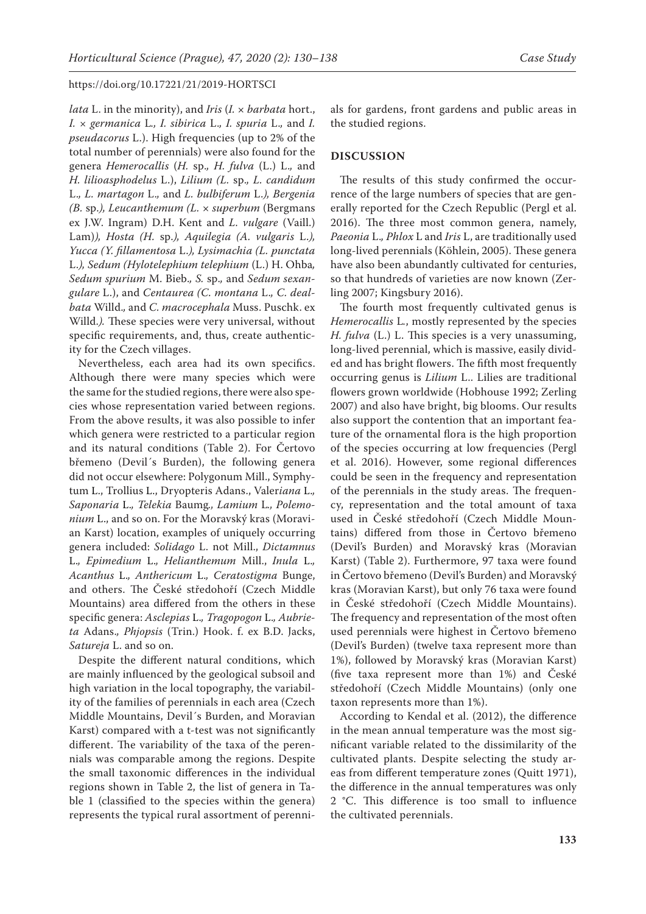*lata* L. in the minority), and *Iris* (*I.* × *barbata* hort., *I. × germanica* L*., I. sibirica* L.*, I. spuria* L.*,* and *I. pseudacorus* L.). High frequencies (up to 2% of the total number of perennials) were also found for the genera *Hemerocallis* (*H.* sp.*, H. fulva* (L.) L.*,* and *H. lilioasphodelus* L.), *Lilium (L.* sp.*, L. candidum*  L.*, L. martagon* L.*,* and *L. bulbiferum* L.*), Bergenia (B.* sp.*), Leucanthemum (L.* × *superbum* (Bergmans ex J.W. Ingram) D.H. Kent and *L. vulgare* (Vaill.) Lam)*), Hosta (H.* sp.*), Aquilegia (A. vulgaris* L.*), Yucca (Y. fillamentosa* L.*), Lysimachia (L. punctata*  L.*), Sedum (Hylotelephium telephium* (L.) H. Ohba*, Sedum spurium* M. Bieb.*, S.* sp.*,* and *Sedum sexangulare* L.), and *Centaurea (C. montana* L.*, C. dealbata* Willd.*,* and *C. macrocephala* Muss. Puschk. ex Willd.*).* These species were very universal, without specific requirements, and, thus, create authenticity for the Czech villages.

Nevertheless, each area had its own specifics. Although there were many species which were the same for the studied regions, there were also species whose representation varied between regions. From the above results, it was also possible to infer which genera were restricted to a particular region and its natural conditions (Table 2). For Čertovo břemeno (Devil´s Burden), the following genera did not occur elsewhere: Polygonum Mill., Symphytum L., Trollius L., Dryopteris Adans., Valer*iana* L.*, Saponaria* L.*, Telekia* Baumg*., Lamium* L*., Polemonium* L., and so on. For the Moravský kras (Moravian Karst) location, examples of uniquely occurring genera included: *Solidago* L. not Mill., *Dictamnus*  L.*, Epimedium* L.*, Helianthemum* Mill., *Inula* L.*, Acanthus* L.*, Anthericum* L.*, Ceratostigma* Bunge, and others. The České středohoří (Czech Middle Mountains) area differed from the others in these specific genera: *Asclepias* L.*, Tragopogon* L.*, Aubrieta* Adans.*, Phjopsis* (Trin.) Hook. f. ex B.D. Jacks, *Satureja* L. and so on.

Despite the different natural conditions, which are mainly influenced by the geological subsoil and high variation in the local topography, the variability of the families of perennials in each area (Czech Middle Mountains, Devil´s Burden, and Moravian Karst) compared with a t-test was not significantly different. The variability of the taxa of the perennials was comparable among the regions. Despite the small taxonomic differences in the individual regions shown in Table 2, the list of genera in Table 1 (classified to the species within the genera) represents the typical rural assortment of perennials for gardens, front gardens and public areas in the studied regions.

#### **DISCUSSION**

The results of this study confirmed the occurrence of the large numbers of species that are generally reported for the Czech Republic (Pergl et al. 2016). The three most common genera, namely, *Paeonia* L.*, Phlox* L and *Iris* L, are traditionally used long-lived perennials (Köhlein, 2005). These genera have also been abundantly cultivated for centuries, so that hundreds of varieties are now known (Zerling 2007; Kingsbury 2016).

The fourth most frequently cultivated genus is *Hemerocallis* L*.*, mostly represented by the species *H. fulva* (L.) L. This species is a very unassuming, long-lived perennial, which is massive, easily divided and has bright flowers. The fifth most frequently occurring genus is *Lilium* L.. Lilies are traditional flowers grown worldwide (Hobhouse 1992; Zerling 2007) and also have bright, big blooms. Our results also support the contention that an important feature of the ornamental flora is the high proportion of the species occurring at low frequencies (Pergl et al. 2016). However, some regional differences could be seen in the frequency and representation of the perennials in the study areas. The frequency, representation and the total amount of taxa used in České středohoří (Czech Middle Mountains) differed from those in Čertovo břemeno (Devil's Burden) and Moravský kras (Moravian Karst) (Table 2). Furthermore, 97 taxa were found in Čertovo břemeno (Devil's Burden) and Moravský kras (Moravian Karst), but only 76 taxa were found in České středohoří (Czech Middle Mountains). The frequency and representation of the most often used perennials were highest in Čertovo břemeno (Devil's Burden) (twelve taxa represent more than 1%), followed by Moravský kras (Moravian Karst) (five taxa represent more than 1%) and České středohoří (Czech Middle Mountains) (only one taxon represents more than 1%).

According to Kendal et al. (2012), the difference in the mean annual temperature was the most significant variable related to the dissimilarity of the cultivated plants. Despite selecting the study areas from different temperature zones (Quitt 1971), the difference in the annual temperatures was only 2 °C. This difference is too small to influence the cultivated perennials.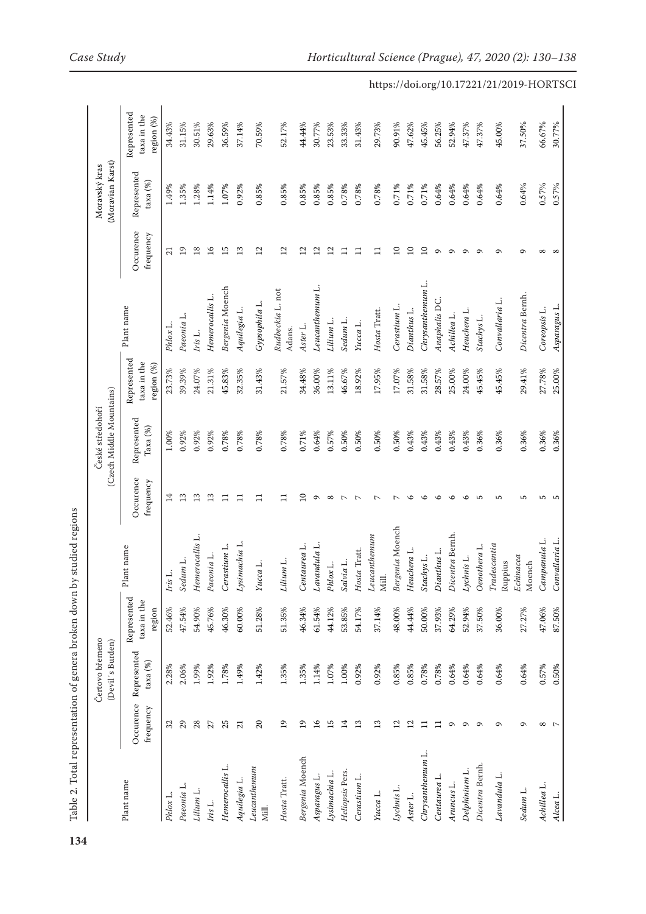|                       |                        | Čertovo břemeno<br>(Devil's Burden) |                                      |                                |                        | (Czech Middle Mountains)<br>České středohoří |                                          |                            |                        | (Moravian Karst)<br>Moravský kras |                                          |
|-----------------------|------------------------|-------------------------------------|--------------------------------------|--------------------------------|------------------------|----------------------------------------------|------------------------------------------|----------------------------|------------------------|-----------------------------------|------------------------------------------|
| Plant name            | Occurence<br>frequency | Represented<br>taxa $(\%)$          | Represented<br>taxa in the<br>region | Plant name                     | Occurence<br>frequency | Represented<br>Taxa $(\%)$                   | Represented<br>taxa in the<br>region (%) | Plant name                 | Occurence<br>frequency | Represented<br>taxa $(\%)$        | Represented<br>taxa in the<br>region (%) |
| $Phlox$ L.            | 32                     | 2.28%                               | 52.46%                               | Iris L.                        | $\vec{1}$              | 1.00%                                        | 23.73%                                   | $Phlox$ L.                 | 21                     | 1.49%                             | 34.43%                                   |
| Paeonia L.            | 29                     | 2.06%                               | 47.54%                               | Sedum L.                       | 13                     | 0.92%                                        | 39.39%                                   | Paeonia L.                 | 19                     | 1.35%                             | 31.15%                                   |
| Lilium L.             | 28                     | 1.99%                               | 54.90%                               | Hemerocallis L.                | 13                     | 0.92%                                        | 24.07%                                   | Iris L.                    | 18                     | 1.28%                             | 30.51%                                   |
| Iris L.               | 27                     | 1.92%                               | 45.76%                               | Paeonia L.                     | 13                     | 0.92%                                        | 21.31%                                   | Hemerocallis L.            | $\overline{16}$        | 1.14%                             | 29.63%                                   |
| Hemerocallis L.       | 25                     | 1.78%                               | 46.30%                               | Cerastium L.                   | $\Xi$                  | 0.78%                                        | 45.83%                                   | Bergenia Moench            | 15                     | 1.07%                             | 36.59%                                   |
| Aquilegia L.          | $\overline{21}$        | 1.49%                               | 60.00%                               | Lysimachia L                   | $\Xi$                  | 0.78%                                        | 32.35%                                   | Aquilegia L.               | 13                     | 0.92%                             | 37.14%                                   |
| Leucanthemum<br>Хill. | 20                     | 1.42%                               | 51.28%                               | Yucca L.                       | $\Xi$                  | 0.78%                                        | 31.43%                                   | Gypsophila L.              | 12                     | 0.85%                             | 70.59%                                   |
| Hosta Tratt.          | $\overline{19}$        | 1.35%                               | 51.35%                               | Lilium L.                      | $\Xi$                  | 0.78%                                        | 21.57%                                   | Rudbeckia L. not<br>Adans. | 12                     | 0.85%                             | 52.17%                                   |
| Bergenia Moench       | $\overline{5}$         | 1.35%                               | 46.34%                               | Centaurea L.                   | $\overline{10}$        | 0.71%                                        | 34.48%                                   | Aster L.                   | 12                     | 0.85%                             | $44.44\%$                                |
| Asparagus L.          | $\overline{16}$        | 1.14%                               | 61.54%                               | avandula L                     | $\sigma$               | 0.64%                                        | 36.00%                                   | Leucanthemum L.            | 12                     | 0.85%                             | 30.77%                                   |
| Lysimachia L          | $\overline{15}$        | 1.07%                               | 44.12%                               | $_{\textit{21}ndax$ L.         | ${}^{\circ}$           | 0.57%                                        | 13.11%                                   | Lilium L.                  | 12                     | 0.85%                             | 23.53%                                   |
| Heliopsis Pers.       | $\overline{14}$        | 1.00%                               | 53.85%                               | alvia L.                       | $\sim$                 | 0.50%                                        | 46.67%                                   | Sedum L.                   | ።                      | 0.78%                             | 33.33%                                   |
| Cerastium L.          | 13                     | 0.92%                               | 54.17%                               | Iosta Tratt.                   | $\triangleright$       | 0.50%                                        | 18.92%                                   | Yucca L.                   | ።                      | 0.78%                             | 31.43%                                   |
| Yucca L.              | 13                     | 0.92%                               | 37.14%                               | Leucanthemum<br>這.             |                        | 0.50%                                        | 17.95%                                   | Hosta Tratt.               | $\Xi$                  | 0.78%                             | 29.73%                                   |
| Lychnis L.            | 12                     | 0.85%                               | 48.00%                               | Bergenia Moench                |                        | 0.50%                                        | 17.07%                                   | Cerastium L.               | $\overline{10}$        | 0.71%                             | 90.91%                                   |
| Aster L.              | 12                     | 0.85%                               | 44.44%                               | Ieuchera L                     | 6                      | 0.43%                                        | 31.58%                                   | Dianthus L                 | $\overline{10}$        | 0.71%                             | 47.62%                                   |
| Chrysanthemum L.      | $\Box$                 | 0.78%                               | 50.00%                               | tachys L.                      | $\circ$                | 0.43%                                        | 31.58%                                   | Chrysanthemum L.           | $\overline{10}$        | 0.71%                             | 45.45%                                   |
| Centaurea L           | $\Box$                 | 0.78%                               | 37.93%                               | <i>ianthus</i> L.              | $\circ$                | 0.43%                                        | 28.57%                                   | Anaphalis DC.              | $\sigma$               | 0.64%                             | 56.25%                                   |
| Aruncus L.            | ç                      | 0.64%                               | 64.29%                               | Dicentra Bernh.                | $\circ$                | 0.43%                                        | 25.00%                                   | Achillea L.                | $\sigma$               | 0.64%                             | 52.94%                                   |
| Delphinium L.         | ٥                      | 0.64%                               | 52.94%                               | ychnis L.                      | $\circ$                | 0.43%                                        | 24.00%                                   | Heuchera L.                | $\sigma$               | 0.64%                             | 47.37%                                   |
| Dicentra Bernh.       | Q                      | 0.64%                               | 37.50%                               | Jenothera L.                   | LO.                    | 0.36%                                        | 45.45%                                   | Stachys L.                 | ç                      | 0.64%                             | 47.37%                                   |
| Lavandula L.          | $\sigma$               | 0.64%                               | 36.00%                               | <b>Tradescantia</b><br>Ruppius | S                      | 0.36%                                        | 45.45%                                   | Convallaria L.             | ç                      | 0.64%                             | 45.00%                                   |
| Sedum L.              | ç                      | 0.64%                               | 27.27%                               | Echinacea<br><b>Aoench</b>     | S                      | 0.36%                                        | 29.41%                                   | Dicentra Bernh.            | ç                      | 0.64%                             | 37.50%                                   |
| Achillea L.           | $^{\circ}$             | 0.57%                               | 47.06%                               | Campanula L.                   | S                      | 0.36%                                        | 27.78%                                   | Coreopsis L.               | ${}^{\circ}$           | 0.57%                             | 66.67%                                   |
| Alcea L.              | $\overline{ }$         | 0.50%                               | 87.50%                               | Convallaria L.                 | S                      | 0.36%                                        | 25.00%                                   | Asparagus L.               | $\infty$               | 0.57%                             | 30.77%                                   |

**134**

Table 2. Total representation of genera broken down by studied regions

Table 2. Total representation of genera broken down by studied regions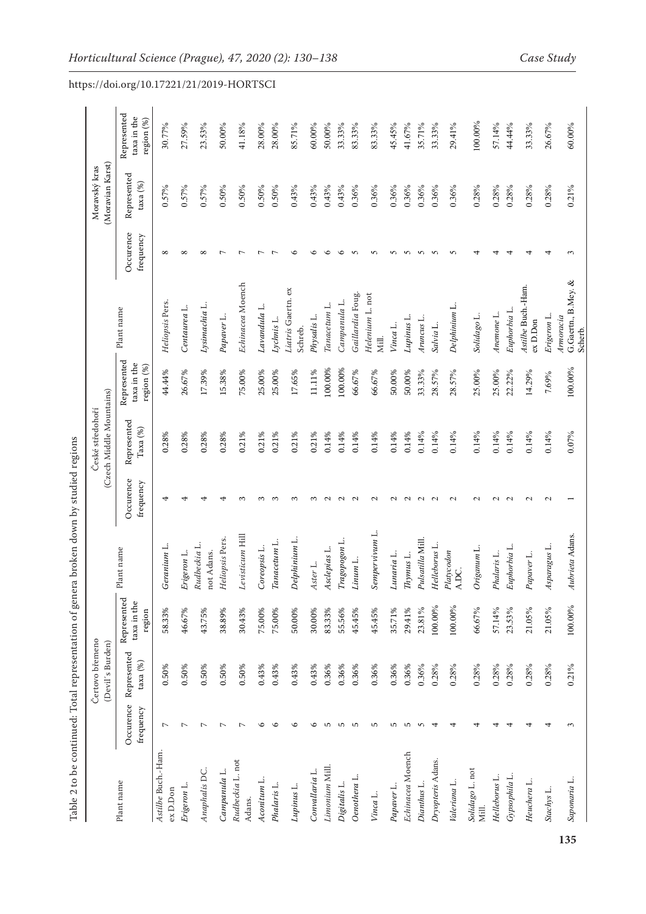|                                |                        | Čertovo břemeno<br>(Devil's Burden) |                                      |                            |                        | (Czech Middle Mountains)<br>České středohoří |                                          |                                             |                        | (Moravian Karst)<br>Moravský kras |                                          |
|--------------------------------|------------------------|-------------------------------------|--------------------------------------|----------------------------|------------------------|----------------------------------------------|------------------------------------------|---------------------------------------------|------------------------|-----------------------------------|------------------------------------------|
| Plant name                     | Occurence<br>frequency | Represented<br>taxa $(\%)$          | Represented<br>taxa in the<br>region | Plant name                 | Occurence<br>frequency | Represented<br>Taxa (%)                      | Represented<br>taxa in the<br>region (%) | Plant name                                  | Occurence<br>frequency | Represented<br>$\tan(\%)$         | Represented<br>taxa in the<br>region (%) |
| Astilbe Buch.-Ham.<br>ex D.Don | $\sim$                 | 0.50%                               | 58.33%                               | Geranium L                 | 4                      | 0.28%                                        | 44.44%                                   | Heliopsis Pers.                             | $\infty$               | 0.57%                             | 30.77%                                   |
| Erigeron L.                    | $\overline{ }$         | 0.50%                               | 46.67%                               | Erigeron L.                | 4                      | 0.28%                                        | 26.67%                                   | Centaurea L.                                | ${}^{\circ}$           | 0.57%                             | 27.59%                                   |
| Anaphalis DC.                  | $\overline{ }$         | 0.50%                               | 43.75%                               | Rudbeckia L.<br>not Adans. |                        | 0.28%                                        | 17.39%                                   | Lysimachia L.                               | $\infty$               | 0.57%                             | 23.53%                                   |
| Campanula L.                   | $\overline{ }$         | 0.50%                               | 38.89%                               | Heliopsis Pers.            | 4                      | 0.28%                                        | 15.38%                                   | Papaver L.                                  | ∼                      | $0.50\%$                          | 50.00%                                   |
| Rudbeckia L. not<br>Adans.     | $\overline{ }$         | 0.50%                               | 30.43%                               | Levisticum Hill            | S                      | 0.21%                                        | 75.00%                                   | Echinacea Moench                            | ∼                      | 0.50%                             | 41.18%                                   |
| Aconitum L.                    | P                      | $0.43\%$                            | 75.00%                               | Coreopsis L.               | S                      | 0.21%                                        | 25.00%                                   | Lavandula L.                                |                        | 0.50%                             | 28.00%                                   |
| Phalaris L.                    | ò                      | 0.43%                               | 75.00%                               | Tanacetum L.               | S                      | 0.21%                                        | 25.00%                                   | Lychnis L.                                  |                        | $0.50\%$                          | $28.00\%$                                |
| Lupinus L.                     | P                      | 0.43%                               | 50.00%                               | Delphinium L.              | S                      | 0.21%                                        | 17.65%                                   | Liatris Gaertn. ex<br>Schreb.               | ७                      | 0.43%                             | 85.71%                                   |
| Convallaria L.                 | $\circ$                | 0.43%                               | 30.00%                               | Aster L.                   |                        | 0.21%                                        | 11.11%                                   | Physalis L.                                 | ७                      | 0.43%                             | 60.00%                                   |
| Limonium Mill.                 | S                      | 0.36%                               | 83.33%                               | Asclepias L.               | $\mathbf{\sim}$        | 0.14%                                        | 100.00%                                  | Tanacetum L.                                | ७                      | 0.43%                             | 50.00%                                   |
| Digitalis L.                   | S                      | 0.36%                               | 55.56%                               | Tragopogon L.              | $\mathbf{\sim}$        | 0.14%                                        | 100.00%                                  | Campanula L.                                | ৩                      | 0.43%                             | 33.33%                                   |
| Oenothera L.                   | S                      | 0.36%                               | 45.45%                               | Linum L.                   | $\mathbf{\sim}$        | 0.14%                                        | 66.67%                                   | Gaillardia Foug                             | $\Omega$               | $0.36\%$                          | 83.33%                                   |
| Vinca L.                       | r                      | 0.36%                               | 45.45%                               | Sempervivum L.             | $\mathbf{\sim}$        | 0.14%                                        | 66.67%                                   | Helenium L. not<br>Mill.                    | $\sqrt{2}$             | 0.36%                             | 83.33%                                   |
| Papaver L.                     | r                      | 0.36%                               | 35.71%                               | Lunaria L.                 |                        | 0.14%                                        | 50.00%                                   | Vinca L.                                    | ທ                      | 0.36%                             | 45.45%                                   |
| Echinacea Moench               | r                      | 0.36%                               | 29.41%                               | $Thymus$ $\mathcal{L}.$    | $\mathbf{\sim}$        | 0.14%                                        | 50.00%                                   | Lupinus <sub>L.</sub>                       | n                      | 0.36%                             | 41.67%                                   |
| Dianthus L                     | $\sim$                 | 0.36%                               | 23.81%                               | Pulsatilla Mill.           | $\sim$                 | 0.14%                                        | 33.33%                                   | Aruncus L.                                  | $\sqrt{2}$             | 0.36%                             | 35.71%                                   |
| Dryopteris Adans.              | 4                      | 0.28%                               | 100.00%                              | Helleborus L               | $\sim$                 | 0.14%                                        | 28.57%                                   | Salvia L.                                   | S                      | 0.36%                             | 33.33%                                   |
| Valeriana L                    | 4                      | 0.28%                               | 100.00%                              | Platycodon<br>A.DC.        | $\sim$                 | 0.14%                                        | 28.57%                                   | Delphinium L                                | n                      | 0.36%                             | 29.41%                                   |
| $\it Solidago$ L. not<br>Mill. | 4                      | 0.28%                               | 66.67%                               | Origanum L                 | $\sim$                 | 0.14%                                        | 25.00%                                   | Solidago L.                                 | ₹                      | 0.28%                             | 100.00%                                  |
| Helleborus L.                  | 4                      | 0.28%                               | 57.14%                               | Phalaris L.                | $\sim$                 | 0.14%                                        | 25.00%                                   | Anemone L.                                  | ₹                      | 0.28%                             | 57.14%                                   |
| Gypsophila L                   | 4                      | 0.28%                               | 23.53%                               | Euphorbia L                | $\sim$                 | 0.14%                                        | 22.22%                                   | Euphorbia L                                 | ↤                      | 0.28%                             | 44.44%                                   |
| Heuchera L.                    | 4                      | 0.28%                               | 21.05%                               | Papaver L                  | $\sim$                 | 0.14%                                        | 14.29%                                   | Astilbe Buch.-Ham<br>ex D.Don               |                        | 0.28%                             | 33.33%                                   |
| Stachys L.                     | ᆉ                      | 0.28%                               | 21.05%                               | Asparagus L                | $\mathbf{\sim}$        | 0.14%                                        | 7.69%                                    | Erigeron L.                                 |                        | 0.28%                             | 26.67%                                   |
| Saponaria L.                   | $\sim$                 | 0.21%                               | 100.00%                              | Aubrieta Adans.            |                        | 0.07%                                        | 100.00%                                  | G.Gaertn., B.Mey. &<br>Armoracia<br>Scherb. |                        | 0.21%                             | $60.00\%$                                |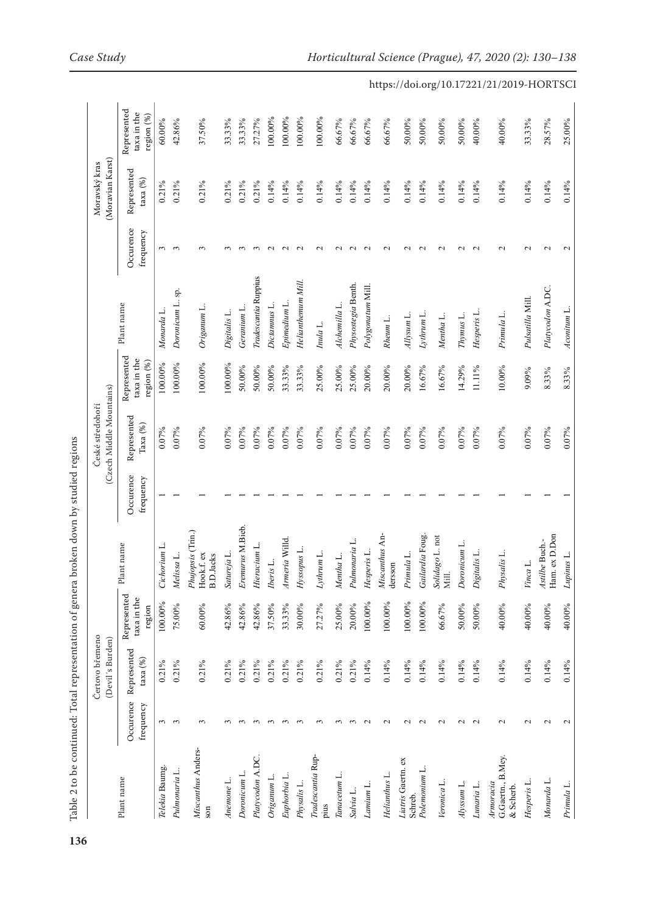| $\frac{1}{2}$                                                                                                                                                                                                                  |
|--------------------------------------------------------------------------------------------------------------------------------------------------------------------------------------------------------------------------------|
|                                                                                                                                                                                                                                |
|                                                                                                                                                                                                                                |
| ֘֒                                                                                                                                                                                                                             |
| Í                                                                                                                                                                                                                              |
|                                                                                                                                                                                                                                |
| let a secondo tente di con cui con duo con di con di contro di contro di contro di contro di contro di contro d<br>l<br>í                                                                                                      |
| in the contract of the contract of the contract of the contract of the contract of the contract of the contract of the contract of the contract of the contract of the contract of the contract of the contract of the contrac |
| .<br>.<br>.                                                                                                                                                                                                                    |
|                                                                                                                                                                                                                                |
|                                                                                                                                                                                                                                |
|                                                                                                                                                                                                                                |
| l                                                                                                                                                                                                                              |

|                                             |                   | Čertovo břemeno<br>(Devil's Burden)  |                                      |                                                    |                        | (Czech Middle Mountains)<br>České středohoří |                                          |                      |                        | (Moravian Karst)<br>Moravský kras |                                          |
|---------------------------------------------|-------------------|--------------------------------------|--------------------------------------|----------------------------------------------------|------------------------|----------------------------------------------|------------------------------------------|----------------------|------------------------|-----------------------------------|------------------------------------------|
| Plant name                                  | frequency         | Occurence Represented<br>taxa $(\%)$ | Represented<br>taxa in the<br>region | Plant name                                         | Occurence<br>frequency | Represented<br>$\text{Taxa } (\%)$           | Represented<br>taxa in the<br>region (%) | Plant name           | Occurence<br>frequency | Represented<br>taxa $(\%)$        | Represented<br>taxa in the<br>region (%) |
| Telekia Baumg                               | 3                 | 0.21%                                | 100.00%                              | Cichorium L                                        |                        | 0.07%                                        | 100.00%                                  | Monarda L            | 3                      | 0.21%                             | 60.00%                                   |
| Pulmonaria L.                               | 3                 | $0.21\%$                             | 75.00%                               | Melissa L                                          |                        | 0.07%                                        | 100.00%                                  | Doronicum L. sp.     | 3                      | $0.21\%$                          | 42.86%                                   |
| Miscanthus Anders-<br>son                   | $\sim$            | 0.21%                                | 60.00%                               | Phujopsis (Trin.)<br>Hook.f.ex<br><b>B.D.Jacks</b> |                        | 0.07%                                        | 100.00%                                  | Origanum L.          | $\sim$                 | 0.21%                             | 37.50%                                   |
| Anemone L.                                  |                   | 0.21%                                | 42.86%                               | Satureja L.                                        |                        | 0.07%                                        | $.00.00\%$                               | Digitalis L.         |                        | 0.21%                             | 33.33%                                   |
| Doronicum L                                 | $\sim$            | 0.21%                                | 42.86%                               | Eremurus M.Bieb.                                   |                        | 0.07%                                        | 50.00%                                   | Geranium L.          |                        | 0.21%                             | 33.33%                                   |
| Platycodon A.DC.                            |                   | 0.21%                                | 42.86%                               | Hieracium L                                        |                        | 0.07%                                        | 50.00%                                   | Tradescantia Ruppius |                        | 0.21%                             | 27.27%                                   |
| Origanum L.                                 | $\sim$            | 0.21%                                | 37.50%                               | Iberis L.                                          |                        | 0.07%                                        | 50.00%                                   | Dictamnus L.         | $\sim$                 | 0.14%                             | 100.00%                                  |
| Euphorbia L.                                |                   | 0.21%                                | 33.33%                               | Armeria Willd                                      |                        | 0.07%                                        | 33.33%                                   | Epimedium L.         |                        | 0.14%                             | 100.00%                                  |
| Physalis L.                                 |                   | 0.21%                                | 30.00%                               | Hyssopus L                                         |                        | 0.07%                                        | 33.33%                                   | Helianthemum Mill.   |                        | 0.14%                             | 100.00%                                  |
| Tradescantia Rup-<br>snid                   | $\sim$            | 0.21%                                | 27.27%                               | Lythrum L.                                         |                        | 0.07%                                        | 25.00%                                   | Inda L.              |                        | 0.14%                             | 100.00%                                  |
| Tanacetum L.                                |                   | 0.21%                                | 25.00%                               | Mentha L.                                          |                        | 0.07%                                        | 25.00%                                   | Alchemilla L         |                        | 0.14%                             | 66.67%                                   |
| Salvia L.                                   |                   | 0.21%                                | 20.00%                               | Pulmonaria L                                       |                        | 0.07%                                        | 25.00%                                   | Physostegia Benth.   |                        | 0.14%                             | 66.67%                                   |
| Lamium L                                    | $\sim$            | 0.14%                                | 100.00%                              | Hesperis L                                         |                        | 0.07%                                        | 20.00%                                   | Polygonatum Mill     |                        | 0.14%                             | 66.67%                                   |
| Helianthus L.                               | $\sim$            | 0.14%                                | 100.00%                              | Miscanthus An-<br>dersson                          |                        | 0.07%                                        | 20.00%                                   | Rheum L.             |                        | 0.14%                             | 66.67%                                   |
| Liatris Gaertn. ex<br>Schreb.               | $\mathbf 2$       | 0.14%                                | 100.00%                              | Primula L.                                         |                        | 0.07%                                        | 20.00%                                   | Allysum L            |                        | 0.14%                             | 50.00%                                   |
| Polemonium L.                               | $\sim$            | 0.14%                                | 100.00%                              | Gailardia Foug                                     |                        | 0.07%                                        | 16.67%                                   | Lythrum L.           |                        | 0.14%                             | 50.00%                                   |
| Veronica L.                                 | $\sim$            | 0.14%                                | 66.67%                               | Solidago L. not<br>Mill.                           |                        | 0.07%                                        | 16.67%                                   | Mentha L.            | $\sim$                 | 0.14%                             | 50.00%                                   |
| Alyssum L                                   | $\sim$            | 0.14%                                | 50.00%                               | Doronicum L                                        |                        | 0.07%                                        | 14.29%                                   | Thymus L.            |                        | 0.14%                             | 50.00%                                   |
| Lunaria L.                                  | $\mathbf{\Omega}$ | 0.14%                                | 50.00%                               | Digitalis L                                        |                        | 0.07%                                        | 11.11%                                   | Hesperis L           | $\sim$                 | 0.14%                             | 40.00%                                   |
| G.Gaertn., B.Mey.<br>Armoracia<br>& Scherb. | $\sim$            | 0.14%                                | 40.00%                               | Physalis L.                                        |                        | 0.07%                                        | 10.00%                                   | Primula L            | $\sim$                 | 0.14%                             | 40.00%                                   |
| Hesperis L.                                 | $\mathbf 2$       | 0.14%                                | 40.00%                               | Vinca L.                                           |                        | 0.07%                                        | 9.09%                                    | Pulsatilla Mill.     | $\sim$                 | 0.14%                             | 33.33%                                   |
| Monarda L.                                  | $\mathbf{\sim}$   | 0.14%                                | 40.00%                               | Ham. ex D.Don<br>4stilbe Buch.-                    |                        | 0.07%                                        | 8.33%                                    | Platycodon A.DC.     | $\sim$                 | 0.14%                             | 28.57%                                   |
| Primula L.                                  | $\mathbf 2$       | 0.14%                                | 40.00%                               | Lupinus L.                                         |                        | 0.07%                                        | 8.33%                                    | Aconitum L.          |                        | 0.14%                             | 25.00%                                   |

**136**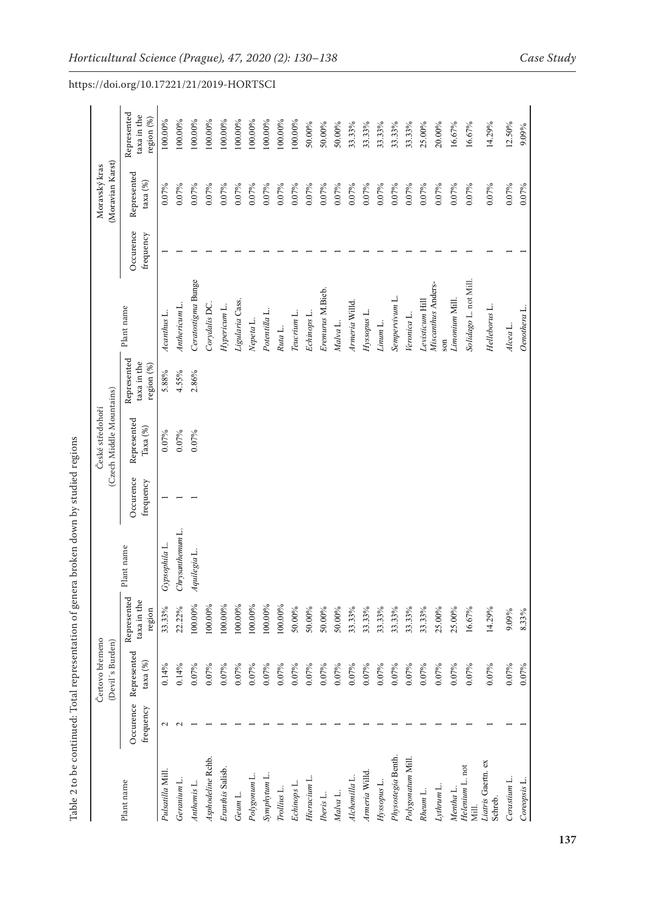| )<br>l                                                                                                                                                                                                                              |
|-------------------------------------------------------------------------------------------------------------------------------------------------------------------------------------------------------------------------------------|
|                                                                                                                                                                                                                                     |
|                                                                                                                                                                                                                                     |
|                                                                                                                                                                                                                                     |
|                                                                                                                                                                                                                                     |
|                                                                                                                                                                                                                                     |
|                                                                                                                                                                                                                                     |
| contrated to the state of the second contract of the contract of the second contract of the contract of the contract of the contract of the contract of the contract of the contract of the contract of the contract of the co<br>í |
|                                                                                                                                                                                                                                     |
|                                                                                                                                                                                                                                     |
|                                                                                                                                                                                                                                     |
|                                                                                                                                                                                                                                     |
| í                                                                                                                                                                                                                                   |
|                                                                                                                                                                                                                                     |
|                                                                                                                                                                                                                                     |
| ١                                                                                                                                                                                                                                   |
|                                                                                                                                                                                                                                     |
| ۱<br>با                                                                                                                                                                                                                             |
|                                                                                                                                                                                                                                     |
|                                                                                                                                                                                                                                     |
|                                                                                                                                                                                                                                     |
| i<br>l                                                                                                                                                                                                                              |

|                               |                        | Čertovo břemeno            |                                      |                  |                        | České středohoří         |                                          |                           |                        | Moravský kras           |                                          |
|-------------------------------|------------------------|----------------------------|--------------------------------------|------------------|------------------------|--------------------------|------------------------------------------|---------------------------|------------------------|-------------------------|------------------------------------------|
|                               |                        | (Devil's Burden)           |                                      |                  |                        | (Czech Middle Mountains) |                                          |                           |                        | (Moravian Karst)        |                                          |
| Plant name                    | Occurence<br>frequency | Represented<br>taxa $(\%)$ | Represented<br>taxa in the<br>region | Plant name       | Occurence<br>frequency | Represented<br>Taxa (%)  | Represented<br>taxa in the<br>region (%) | Plant name                | Occurence<br>frequency | Represented<br>taxa (%) | Represented<br>taxa in the<br>region (%) |
| Pulsatilla Mill               | $\sim$                 | 0.14%                      | 33.33%                               | Gypsophila L     |                        | 0.07%                    | 5.88%                                    | Acanthus L.               |                        | 0.07%                   | 100.00%                                  |
| Geranium L                    |                        | 0.14%                      | 22.22%                               | Chrysanthemum L. |                        | 0.07%                    | 4.55%                                    | Anthericum L              |                        | 0.07%                   | 100.00%                                  |
| Anthemis L.                   |                        | $0.07\%$                   | 100.00%                              | Aquilegia L.     |                        | 0.07%                    | 2.86%                                    | Ceratostigma Bunge        |                        | 0.07%                   | 100.00%                                  |
| Asphodeline Rchb.             |                        | 0.07%                      | $100.00\%$                           |                  |                        |                          |                                          | Corydalis DC.             |                        | 0.07%                   | 100.00%                                  |
| Eranthis Salisb.              |                        | 0.07%                      | 100.00%                              |                  |                        |                          |                                          | Hypericum L               |                        | 0.07%                   | 100.00%                                  |
| Geum L.                       |                        | 0.07%                      | 100.00%                              |                  |                        |                          |                                          | Ligularia Cass            |                        | 0.07%                   | 100.00%                                  |
| Polygonum L.                  |                        | 0.07%                      | 100.00%                              |                  |                        |                          |                                          | Nepeta L.                 |                        | 0.07%                   | 100.00%                                  |
| Symphytum L                   |                        | 0.07%                      | 100.00%                              |                  |                        |                          |                                          | Potentilla L.             |                        | 0.07%                   | 100.00%                                  |
| Trollius L.                   |                        | 0.07%                      | 100.00%                              |                  |                        |                          |                                          | Ruta L.                   |                        | 0.07%                   | 100.00%                                  |
| Echinops L.                   |                        | 0.07%                      | 50.00%                               |                  |                        |                          |                                          | Teucrium L.               |                        | $0.07\%$                | 100.00%                                  |
| Hieracium L.                  |                        | 0.07%                      | 50.00%                               |                  |                        |                          |                                          | Echinops <sub>L</sub>     |                        | 0.07%                   | 50.00%                                   |
| <b>Iberis</b> L.              |                        | 0.07%                      | 50.00%                               |                  |                        |                          |                                          | Eremurus M.Bieb.          |                        | 0.07%                   | 50.00%                                   |
| Malva L.                      |                        | 0.07%                      | 50.00%                               |                  |                        |                          |                                          | Malva L.                  |                        | 0.07%                   | 50.00%                                   |
| Alchemilla L.                 |                        | 0.07%                      | 33.33%                               |                  |                        |                          |                                          | Armeria Willd.            |                        | 0.07%                   | 33.33%                                   |
| Armeria Willd                 |                        | 0.07%                      | 33.33%                               |                  |                        |                          |                                          | Hyssopus L.               |                        | 0.07%                   | 33.33%                                   |
| Hyssopus L.                   |                        | 0.07%                      | 33.33%                               |                  |                        |                          |                                          | Linum L.                  |                        | 0.07%                   | 33.33%                                   |
| Physostegia Benth.            |                        | $0.07\%$                   | 33.33%                               |                  |                        |                          |                                          | Sempervivum L.            |                        | 0.07%                   | 33.33%                                   |
| Polygonatum Mill.             |                        | 0.07%                      | 33.33%                               |                  |                        |                          |                                          | Veronica L.               |                        | $0.07\%$                | 33.33%                                   |
| Rheum L.                      |                        | 0.07%                      | 33.33%                               |                  |                        |                          |                                          | Levisticum Hill           |                        | 0.07%                   | 25.00%                                   |
| Lythrum L.                    |                        | 0.07%                      | 25.00%                               |                  |                        |                          |                                          | Miscanthus Anders-<br>son |                        | 0.07%                   | 20.00%                                   |
| Mentha L                      |                        | $0.07\%$                   | 25.00%                               |                  |                        |                          |                                          | Limonium Mill.            |                        | 0.07%                   | 16.67%                                   |
| Helenium L. not<br>Mill.      |                        | 0.07%                      | 16.67%                               |                  |                        |                          |                                          | Solidago L. not Mill.     |                        | 0.07%                   | 16.67%                                   |
| Liatris Gaertn. ex<br>Schreb. |                        | 0.07%                      | 14.29%                               |                  |                        |                          |                                          | Helleborus L.             |                        | $0.07\%$                | 14.29%                                   |
| Cerastium L                   |                        | 0.07%                      | 9.09%                                |                  |                        |                          |                                          | Alcea L.                  |                        | 0.07%                   | 12.50%                                   |
| Coreopsis L.                  |                        | 0.07%                      | 8.33%                                |                  |                        |                          |                                          | Oenothera L.              |                        | 0.07%                   | 9.09%                                    |